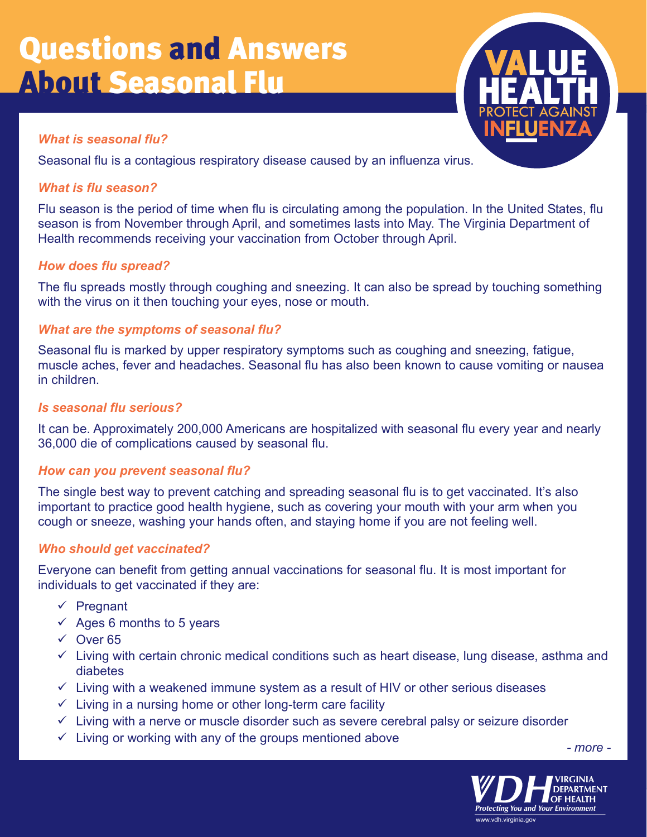# Questions and Answers About Seasonal Flu



# *What is seasonal flu?*

Seasonal flu is a contagious respiratory disease caused by an influenza virus.

# *What is flu season?*

Flu season is the period of time when flu is circulating among the population. In the United States, flu season is from November through April, and sometimes lasts into May. The Virginia Department of Health recommends receiving your vaccination from October through April.

# *How does flu spread?*

The flu spreads mostly through coughing and sneezing. It can also be spread by touching something with the virus on it then touching your eyes, nose or mouth.

# *What are the symptoms of seasonal flu?*

Seasonal flu is marked by upper respiratory symptoms such as coughing and sneezing, fatigue, muscle aches, fever and headaches. Seasonal flu has also been known to cause vomiting or nausea in children.

# *Is seasonal flu serious?*

It can be. Approximately 200,000 Americans are hospitalized with seasonal flu every year and nearly 36,000 die of complications caused by seasonal flu.

# *How can you prevent seasonal flu?*

The single best way to prevent catching and spreading seasonal flu is to get vaccinated. It's also important to practice good health hygiene, such as covering your mouth with your arm when you cough or sneeze, washing your hands often, and staying home if you are not feeling well.

# *Who should get vaccinated?*

Everyone can benefit from getting annual vaccinations for seasonal flu. It is most important for individuals to get vaccinated if they are:

- $\checkmark$  Pregnant
- $\checkmark$  Ages 6 months to 5 years
- $\sqrt{ }$  Over 65
- $\checkmark$  Living with certain chronic medical conditions such as heart disease, lung disease, asthma and diabetes
- $\checkmark$  Living with a weakened immune system as a result of HIV or other serious diseases
- $\checkmark$  Living in a nursing home or other long-term care facility
- $\checkmark$  Living with a nerve or muscle disorder such as severe cerebral palsy or seizure disorder
- $\checkmark$  Living or working with any of the groups mentioned above

*- more -*